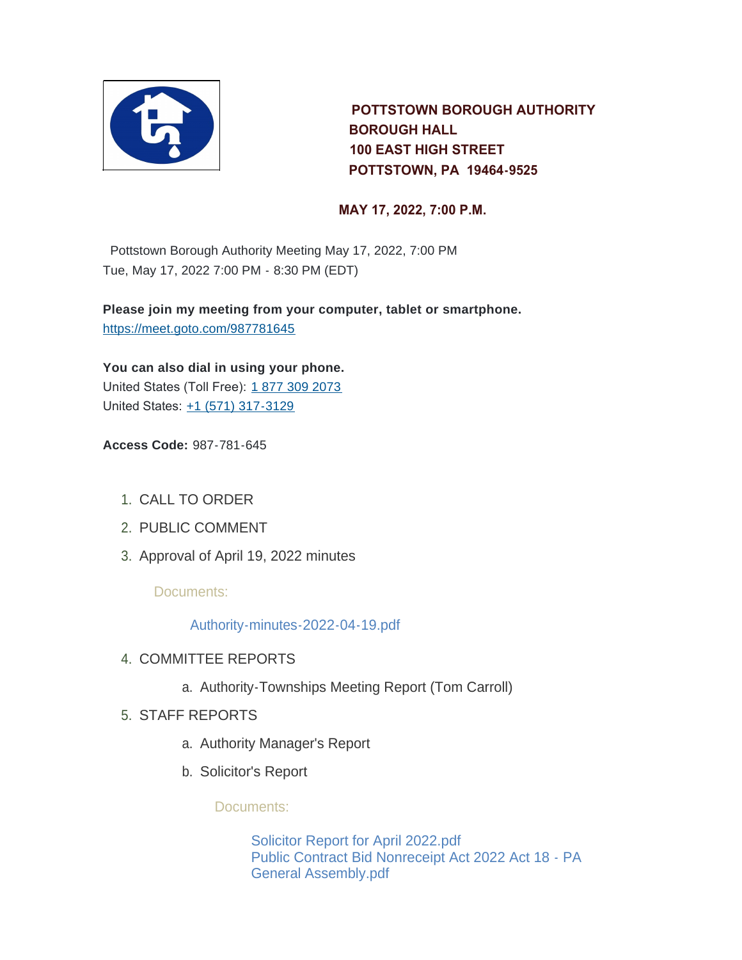

 **POTTSTOWN BOROUGH AUTHORITY BOROUGH HALL 100 EAST HIGH STREET POTTSTOWN, PA 19464-9525** 

#### **MAY 17, 2022, 7:00 P.M.**

Pottstown Borough Authority Meeting May 17, 2022, 7:00 PM Tue, May 17, 2022 7:00 PM - 8:30 PM (EDT)

**Please join my meeting from your computer, tablet or smartphone.** <https://meet.goto.com/987781645>

**You can also dial in using your phone.** United States (Toll Free): [1 877 309 2073](tel:+18773092073,,987781645#) United States: [+1 \(571\) 317-3129](tel:+15713173129,,987781645#)

**Access Code:** 987-781-645

- 1. CALL TO ORDER
- 2. PUBLIC COMMENT
- 3. Approval of April 19, 2022 minutes

Documents:

[Authority-minutes-2022-04-19.pdf](https://www.pottstown.org/AgendaCenter/ViewFile/Item/12626?fileID=5766)

- 4. COMMITTEE REPORTS
	- a. Authority-Townships Meeting Report (Tom Carroll)
- STAFF REPORTS 5.
	- a. Authority Manager's Report
	- b. Solicitor's Report

Documents:

[Solicitor Report for April 2022.pdf](https://www.pottstown.org/AgendaCenter/ViewFile/Item/12632?fileID=5767) [Public Contract Bid Nonreceipt Act 2022 Act 18 - PA](https://www.pottstown.org/AgendaCenter/ViewFile/Item/12632?fileID=5768)  General Assembly.pdf